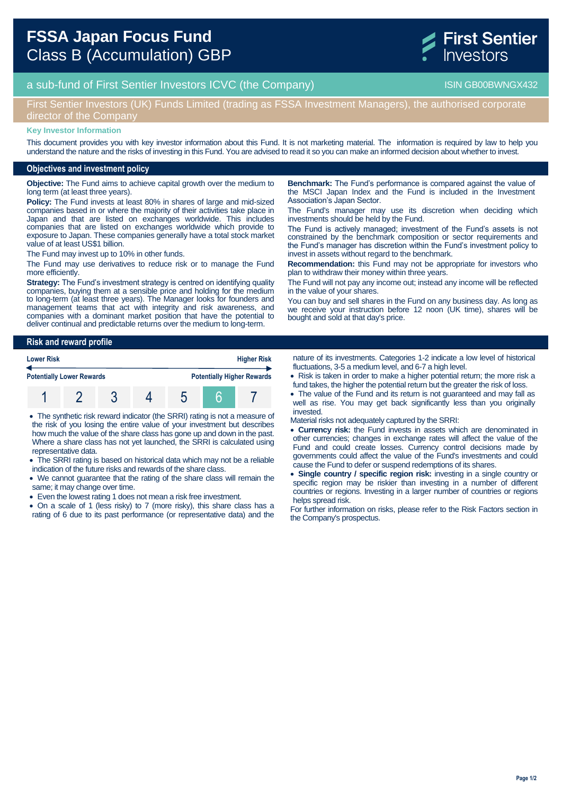

# a sub-fund of First Sentier Investors ICVC (the Company) and the Company ISIN GB00BWNGX432

## First Sentier Investors (UK) Funds Limited (trading as FSSA Investment Managers), the authorised corporate director of the Company

#### **Key Investor Information**

This document provides you with key investor information about this Fund. It is not marketing material. The information is required by law to help you understand the nature and the risks of investing in this Fund. You are advised to read it so you can make an informed decision about whether to invest.

### **Objectives and investment policy**

**Objective:** The Fund aims to achieve capital growth over the medium to long term (at least three years).

**Policy:** The Fund invests at least 80% in shares of large and mid-sized companies based in or where the majority of their activities take place in Japan and that are listed on exchanges worldwide. This includes companies that are listed on exchanges worldwide which provide to exposure to Japan. These companies generally have a total stock market value of at least US\$1 billion.

The Fund may invest up to 10% in other funds.

The Fund may use derivatives to reduce risk or to manage the Fund more efficiently.

**Strategy:** The Fund's investment strategy is centred on identifying quality companies, buying them at a sensible price and holding for the medium to long-term (at least three years). The Manager looks for founders and management teams that act with integrity and risk awareness, and companies with a dominant market position that have the potential to deliver continual and predictable returns over the medium to long-term.

**Benchmark:** The Fund's performance is compared against the value of the MSCI Japan Index and the Fund is included in the Investment Association's Japan Sector.

The Fund's manager may use its discretion when deciding which investments should be held by the Fund.

The Fund is actively managed; investment of the Fund's assets is not constrained by the benchmark composition or sector requirements and the Fund's manager has discretion within the Fund's investment policy to invest in assets without regard to the benchmark.

**Recommendation:** this Fund may not be appropriate for investors who plan to withdraw their money within three years.

The Fund will not pay any income out; instead any income will be reflected in the value of your shares.

You can buy and sell shares in the Fund on any business day. As long as we receive your instruction before 12 noon (UK time), shares will be bought and sold at that day's price.

#### **Risk and reward profile**

| <b>Lower Risk</b><br><b>Potentially Lower Rewards</b> |  |  |  | <b>Higher Risk</b>                |  |  |
|-------------------------------------------------------|--|--|--|-----------------------------------|--|--|
|                                                       |  |  |  | <b>Potentially Higher Rewards</b> |  |  |
|                                                       |  |  |  |                                   |  |  |

 The synthetic risk reward indicator (the SRRI) rating is not a measure of the risk of you losing the entire value of your investment but describes how much the value of the share class has gone up and down in the past. Where a share class has not yet launched, the SRRI is calculated using representative data.

 The SRRI rating is based on historical data which may not be a reliable indication of the future risks and rewards of the share class.

- We cannot guarantee that the rating of the share class will remain the same; it may change over time.
- Even the lowest rating 1 does not mean a risk free investment.

 On a scale of 1 (less risky) to 7 (more risky), this share class has a rating of 6 due to its past performance (or representative data) and the nature of its investments. Categories 1-2 indicate a low level of historical fluctuations, 3-5 a medium level, and 6-7 a high level.

- Risk is taken in order to make a higher potential return; the more risk a fund takes, the higher the potential return but the greater the risk of loss.
- The value of the Fund and its return is not guaranteed and may fall as well as rise. You may get back significantly less than you originally invested.

Material risks not adequately captured by the SRRI:

- **Currency risk:** the Fund invests in assets which are denominated in other currencies; changes in exchange rates will affect the value of the Fund and could create losses. Currency control decisions made by governments could affect the value of the Fund's investments and could cause the Fund to defer or suspend redemptions of its shares.
- **Single country / specific region risk:** investing in a single country or specific region may be riskier than investing in a number of different countries or regions. Investing in a larger number of countries or regions helps spread risk.

For further information on risks, please refer to the Risk Factors section in the Company's prospectus.